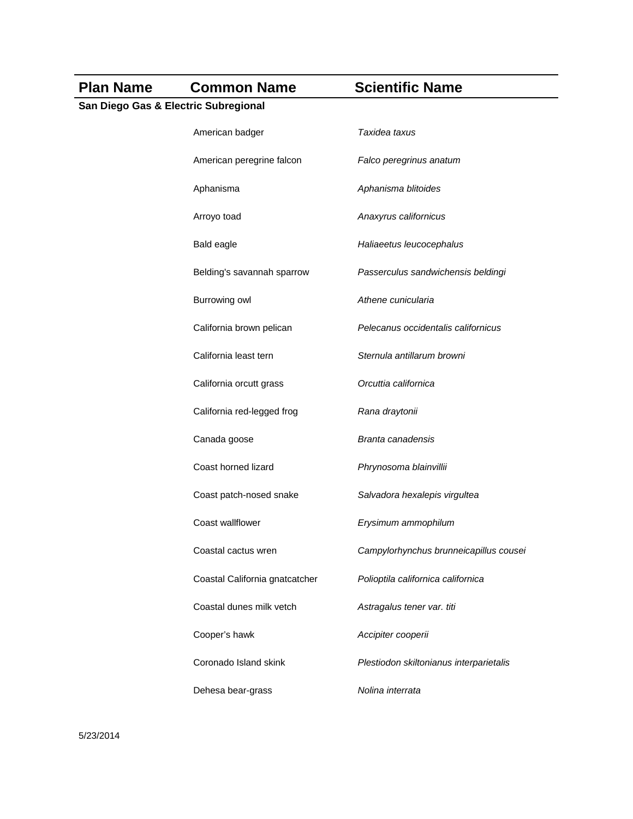## **Plan Name Common Name Scientific Name San Diego Gas & Electric Subregional** American badger *Taxidea taxus* American peregrine falcon *Falco peregrinus anatum* Aphanisma *Aphanisma blitoides* Arroyo toad *Anaxyrus californicus* Bald eagle *Haliaeetus leucocephalus* Belding's savannah sparrow *Passerculus sandwichensis beldingi*  Burrowing owl *Athene cunicularia* California brown pelican *Pelecanus occidentalis californicus* California least tern *Sternula antillarum browni* California orcutt grass *Orcuttia californica* California red-legged frog *Rana draytonii* Canada goose *Branta canadensis* Coast horned lizard *Phrynosoma blainvillii* Coast patch-nosed snake *Salvadora hexalepis virgultea* Coast wallflower *Erysimum ammophilum* Coastal cactus wren *Campylorhynchus brunneicapillus cousei* Coastal California gnatcatcher *Polioptila californica californica* Coastal dunes milk vetch *Astragalus tener var. titi* Cooper's hawk *Accipiter cooperii* Coronado Island skink *Plestiodon skiltonianus interparietalis* Dehesa bear-grass *Nolina interrata*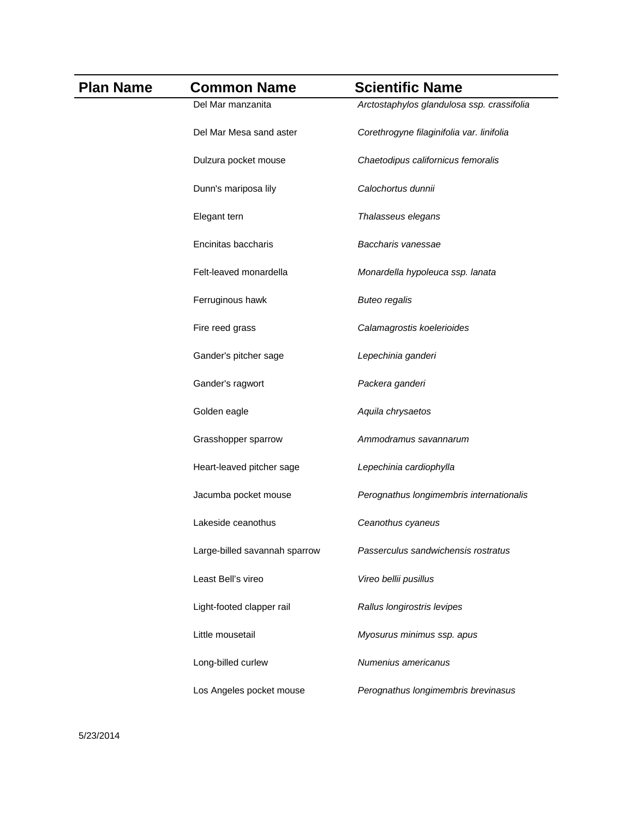| <b>Plan Name</b> | <b>Common Name</b>            | <b>Scientific Name</b>                     |
|------------------|-------------------------------|--------------------------------------------|
|                  | Del Mar manzanita             | Arctostaphylos glandulosa ssp. crassifolia |
|                  | Del Mar Mesa sand aster       | Corethrogyne filaginifolia var. linifolia  |
|                  | Dulzura pocket mouse          | Chaetodipus californicus femoralis         |
|                  | Dunn's mariposa lily          | Calochortus dunnii                         |
|                  | Elegant tern                  | Thalasseus elegans                         |
|                  | Encinitas baccharis           | Baccharis vanessae                         |
|                  | Felt-leaved monardella        | Monardella hypoleuca ssp. lanata           |
|                  | Ferruginous hawk              | <b>Buteo regalis</b>                       |
|                  | Fire reed grass               | Calamagrostis koelerioides                 |
|                  | Gander's pitcher sage         | Lepechinia ganderi                         |
|                  | Gander's ragwort              | Packera ganderi                            |
|                  | Golden eagle                  | Aquila chrysaetos                          |
|                  | Grasshopper sparrow           | Ammodramus savannarum                      |
|                  | Heart-leaved pitcher sage     | Lepechinia cardiophylla                    |
|                  | Jacumba pocket mouse          | Perognathus longimembris internationalis   |
|                  | Lakeside ceanothus            | Ceanothus cyaneus                          |
|                  | Large-billed savannah sparrow | Passerculus sandwichensis rostratus        |
|                  | Least Bell's vireo            | Vireo bellii pusillus                      |
|                  | Light-footed clapper rail     | Rallus longirostris levipes                |
|                  | Little mousetail              | Myosurus minimus ssp. apus                 |
|                  | Long-billed curlew            | Numenius americanus                        |
|                  | Los Angeles pocket mouse      | Perognathus longimembris brevinasus        |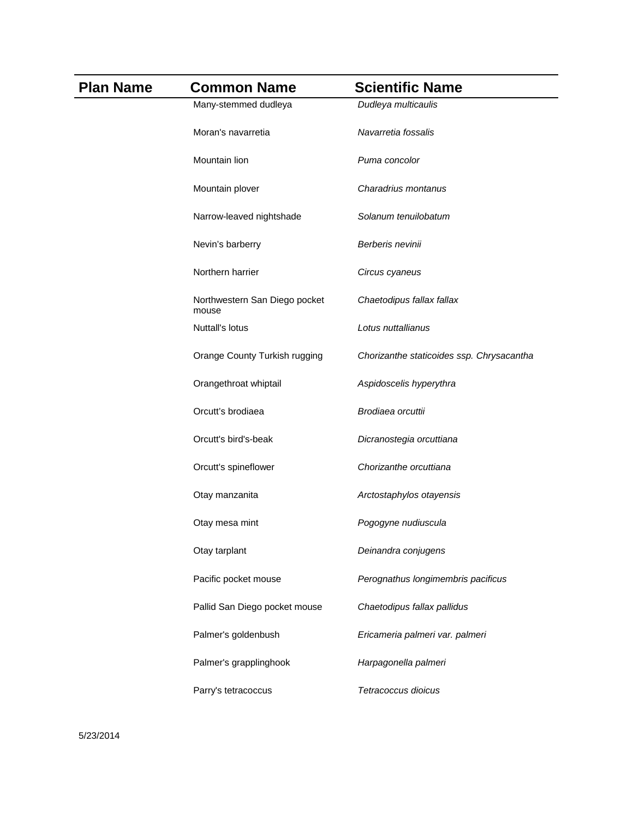| <b>Plan Name</b> | <b>Common Name</b>                     | <b>Scientific Name</b>                    |
|------------------|----------------------------------------|-------------------------------------------|
|                  | Many-stemmed dudleya                   | Dudleya multicaulis                       |
|                  | Moran's navarretia                     | Navarretia fossalis                       |
|                  | Mountain lion                          | Puma concolor                             |
|                  | Mountain plover                        | Charadrius montanus                       |
|                  | Narrow-leaved nightshade               | Solanum tenuilobatum                      |
|                  | Nevin's barberry                       | Berberis nevinii                          |
|                  | Northern harrier                       | Circus cyaneus                            |
|                  | Northwestern San Diego pocket<br>mouse | Chaetodipus fallax fallax                 |
|                  | Nuttall's lotus                        | Lotus nuttallianus                        |
|                  | Orange County Turkish rugging          | Chorizanthe staticoides ssp. Chrysacantha |
|                  | Orangethroat whiptail                  | Aspidoscelis hyperythra                   |
|                  | Orcutt's brodiaea                      | Brodiaea orcuttii                         |
|                  | Orcutt's bird's-beak                   | Dicranostegia orcuttiana                  |
|                  | Orcutt's spineflower                   | Chorizanthe orcuttiana                    |
|                  | Otay manzanita                         | Arctostaphylos otayensis                  |
|                  | Otay mesa mint                         | Pogogyne nudiuscula                       |
|                  | Otay tarplant                          | Deinandra conjugens                       |
|                  | Pacific pocket mouse                   | Perognathus longimembris pacificus        |
|                  | Pallid San Diego pocket mouse          | Chaetodipus fallax pallidus               |
|                  | Palmer's goldenbush                    | Ericameria palmeri var. palmeri           |
|                  | Palmer's grapplinghook                 | Harpagonella palmeri                      |
|                  | Parry's tetracoccus                    | Tetracoccus dioicus                       |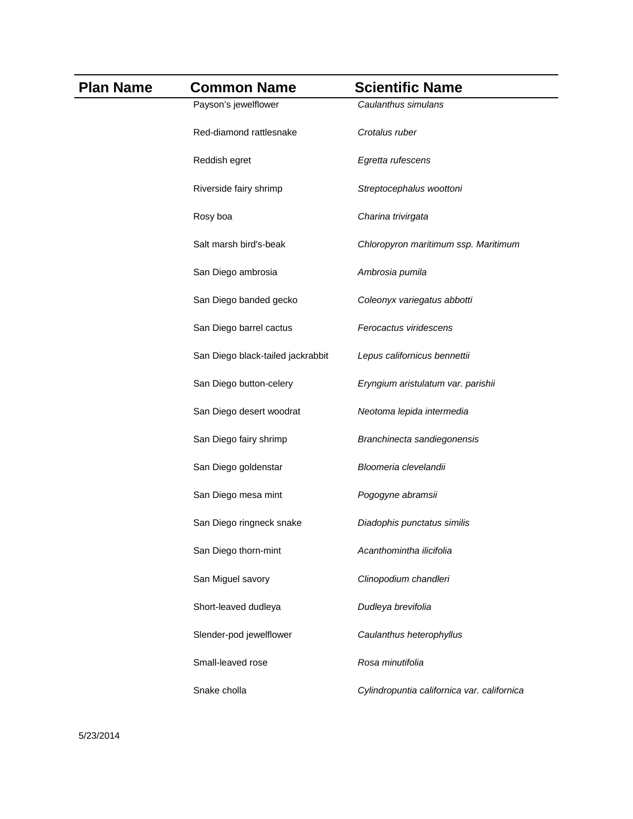| <b>Plan Name</b> | <b>Common Name</b>                | <b>Scientific Name</b>                      |
|------------------|-----------------------------------|---------------------------------------------|
|                  | Payson's jewelflower              | Caulanthus simulans                         |
|                  | Red-diamond rattlesnake           | Crotalus ruber                              |
|                  | Reddish egret                     | Egretta rufescens                           |
|                  | Riverside fairy shrimp            | Streptocephalus woottoni                    |
|                  | Rosy boa                          | Charina trivirgata                          |
|                  | Salt marsh bird's-beak            | Chloropyron maritimum ssp. Maritimum        |
|                  | San Diego ambrosia                | Ambrosia pumila                             |
|                  | San Diego banded gecko            | Coleonyx variegatus abbotti                 |
|                  | San Diego barrel cactus           | Ferocactus viridescens                      |
|                  | San Diego black-tailed jackrabbit | Lepus californicus bennettii                |
|                  | San Diego button-celery           | Eryngium aristulatum var. parishii          |
|                  | San Diego desert woodrat          | Neotoma lepida intermedia                   |
|                  | San Diego fairy shrimp            | Branchinecta sandiegonensis                 |
|                  | San Diego goldenstar              | Bloomeria clevelandii                       |
|                  | San Diego mesa mint               | Pogogyne abramsii                           |
|                  | San Diego ringneck snake          | Diadophis punctatus similis                 |
|                  | San Diego thorn-mint              | Acanthomintha ilicifolia                    |
|                  | San Miguel savory                 | Clinopodium chandleri                       |
|                  | Short-leaved dudleya              | Dudleya brevifolia                          |
|                  | Slender-pod jewelflower           | Caulanthus heterophyllus                    |
|                  | Small-leaved rose                 | Rosa minutifolia                            |
|                  | Snake cholla                      | Cylindropuntia californica var. californica |